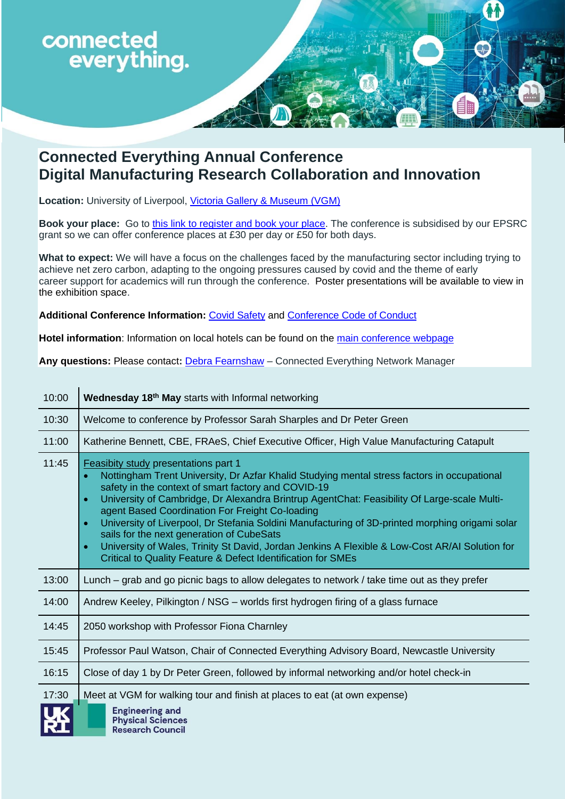

## **Connected Everything Annual Conference Digital Manufacturing Research Collaboration and Innovation**

**Location:** University of Liverpool, [Victoria Gallery & Museum](https://vgm.liverpool.ac.uk/your-visit/getting-here/) (VGM)

**Book your place:** Go to this link [to register and book your place.](https://store.nottingham.ac.uk/conferences-and-events/conferences/schools-and-departments/engineering/connected-everything-annual-conference) The conference is subsidised by our EPSRC grant so we can offer conference places at £30 per day or £50 for both days.

**What to expect:** We will have a focus on the challenges faced by the manufacturing sector including trying to achieve net zero carbon, adapting to the ongoing pressures caused by covid and the theme of early career support for academics will run through the conference. Poster presentations will be available to view in the exhibition space.

**Additional Conference Information:** [Covid Safety](http://connectedeverything.ac.uk/connected-everything-conference-covid-safety/) and [Conference Code of Conduct](https://connectedeverything.ac.uk/connected-everything-conference-code-of-conduct/)

**Hotel information**: Information on local hotels can be found on the [main conference webpage](https://connectedeverything.ac.uk/conference-2022/)

**Any questions:** Please contact**:** [Debra Fearnshaw](mailto:debra.fearnshaw@nottingham.ac.uk) – Connected Everything Network Manager

| 10:00 | Wednesday 18 <sup>th</sup> May starts with Informal networking                                                                                                                                                                                                                                                                                                                                                                                                                                                                                                                                                                                                                                               |
|-------|--------------------------------------------------------------------------------------------------------------------------------------------------------------------------------------------------------------------------------------------------------------------------------------------------------------------------------------------------------------------------------------------------------------------------------------------------------------------------------------------------------------------------------------------------------------------------------------------------------------------------------------------------------------------------------------------------------------|
| 10:30 | Welcome to conference by Professor Sarah Sharples and Dr Peter Green                                                                                                                                                                                                                                                                                                                                                                                                                                                                                                                                                                                                                                         |
| 11:00 | Katherine Bennett, CBE, FRAeS, Chief Executive Officer, High Value Manufacturing Catapult                                                                                                                                                                                                                                                                                                                                                                                                                                                                                                                                                                                                                    |
| 11:45 | <b>Feasibity study presentations part 1</b><br>Nottingham Trent University, Dr Azfar Khalid Studying mental stress factors in occupational<br>safety in the context of smart factory and COVID-19<br>University of Cambridge, Dr Alexandra Brintrup AgentChat: Feasibility Of Large-scale Multi-<br>$\bullet$<br>agent Based Coordination For Freight Co-loading<br>University of Liverpool, Dr Stefania Soldini Manufacturing of 3D-printed morphing origami solar<br>$\bullet$<br>sails for the next generation of CubeSats<br>University of Wales, Trinity St David, Jordan Jenkins A Flexible & Low-Cost AR/AI Solution for<br>$\bullet$<br>Critical to Quality Feature & Defect Identification for SMEs |
| 13:00 | Lunch – grab and go picnic bags to allow delegates to network / take time out as they prefer                                                                                                                                                                                                                                                                                                                                                                                                                                                                                                                                                                                                                 |
| 14:00 | Andrew Keeley, Pilkington / NSG - worlds first hydrogen firing of a glass furnace                                                                                                                                                                                                                                                                                                                                                                                                                                                                                                                                                                                                                            |
| 14:45 | 2050 workshop with Professor Fiona Charnley                                                                                                                                                                                                                                                                                                                                                                                                                                                                                                                                                                                                                                                                  |
| 15:45 | Professor Paul Watson, Chair of Connected Everything Advisory Board, Newcastle University                                                                                                                                                                                                                                                                                                                                                                                                                                                                                                                                                                                                                    |
| 16:15 | Close of day 1 by Dr Peter Green, followed by informal networking and/or hotel check-in                                                                                                                                                                                                                                                                                                                                                                                                                                                                                                                                                                                                                      |
| 17:30 | Meet at VGM for walking tour and finish at places to eat (at own expense)<br><b>Engineering and</b><br><b>Physical Sciences</b><br><b>Research Council</b>                                                                                                                                                                                                                                                                                                                                                                                                                                                                                                                                                   |